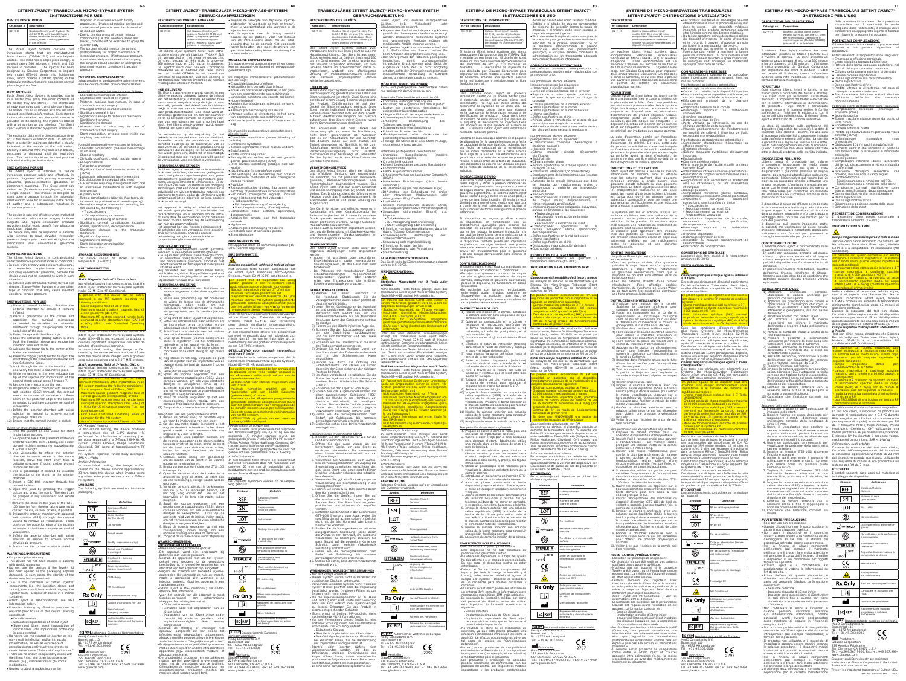360 micron hoog en 230 micron in diameter. De injector werd door Glaukos Corporation kunnen apparaat-gerelateerd of niet-apparaatontwikkeld en is bedoeld om twee stents van het model GTS400 in het kanaal van Schlemm te implanteren, wat een opening in De mogelijke intraoperatieve gebeurtenissen het trabeculaire netwerk creëert en de normale logische uitstroom herstelt.

## **HOE GELEVERD**

 Elk iStent *inject*-systeem wordt steriel, in een blisterverpakking geleverd (alleen de inhoud van het blisterbakje is steriel). Er werden twee stents vooraf aangebracht op de injector voor eenmalig gebruik. Het deksel van het blisterbakje is voorzien van de vereiste informatie<br>voor productidentificatie. Elke stent werd afzonderlijk gesteriliseerd en het serienummer wordt op het label vermeld, de injector is voorzien van een lotnummer, dat u op het label vindt. Het iStent *inject*-systeem wordt gesteriliseerd met gammastraling.

De vervaldatum op de verpakking (op het azijn als volgt: deksel) is de vervaldatum van de steriliteit. Bovendien wordt de vervaldatum van de steriliteit duidelijk op de buitenzijde van de Chronische hypotonie doos vermeld. De steriliteit is gegarandeerd op voorwaarde dat de zegel; tot de vervaldatum, Klinisch signifi cante cystoïd macula-oedeem Endoftalmitis niet wordt gebroken, doorprikt of beschadigd. Platte voorste oogkamer Dit apparaat mag niet worden gebruikt wanner rvaldatum voor steriliteit is verstreken.

#### **GEBRUIKSAANWIJZING** 1) Maak een cornea-incisie. Stabiliseer de

# **GEBRUIKSAANWIJZINGEN**

 De iStent *inject* is bedoeld om de intra-oculaire druk van patiënten, die werden gediagnosticeerd met primaire openhoekglaucoom, pseudoexfoliatieve glaucoom of pigmentaire glaucoom, veilig en efficiënt te verminderen. De iStent *inject* kan twee (2) stents in een doorgang aanbrengen, met één incisie. Het implantaat is ontwikkeld om via het trabeculair netwerk een doorgang te maken, zodat de uitvloeiing wordt Secundaire chirurgische ingreep, inclusief vergemakkelijkt en bijgevolg de intra-oculaire druk wordt verlaagd.

Het apparaat is veilig en effectief wanneer het wordt geïmplanteerd in combinatie met cataractchirurgie en is bedoeld om de intraoculaire druk te verminderen en/of patiënten die baat zouden hebben bij de vermindering van hun glaucoommedicatie. Het apparaat kan ook worden geïmplanteerd bij patiënten die een verhoogde intra-oculaire

druk blijven hebben, ondanks eerdere behandeling met glaucoommedicatie en conventionele glaucoomchirurgie.

# **CONTRA-INDICATIES**

Het iStent *inject*-systeem wordt gecontra-<br>indiceerd in de volgende omstandigheden:<br>• In ogen met primaire kamerhoekglaucoom, of secundaire hoekglaucoom, met inbegrip van neovasculaire glaucoom, omdat er niet wordt verwacht dat het apparaat in dergelijke

situaties werkt Bij patiënten met een retrobulbaire tumor, klier oogziekte, Sturge-Weber-syndroom of een andere afwijking die tot een verhoogde episclerale veneuze druk kan leiden

- Alleen voor voorgeschreven gebruik. Dit apparaat werd niet onderzocht bij patiënten met uveitis glaucoom. Gebruik de apparaten niet als het Tyvek®- deksel werd geopend of de verpakking beschadigd is. In dergelijke gevallen kan de steriliteit van het apparaat zijn aangetast. Wegens de scherpte van bepaalde injectie-
- onderdelen (bijvoorbeeld de huls en trocar), moet u voorzichtig zijn wanneer u de injector hanteert. Gooi het apparaat in een
- naaldencontainer. iStent *inject* is MR-Conditional; zie onder-staande MRI-informatie. Voor het gebruik van dit apparaat is moet Glaukos-personeel een artsentraining<br>afleggen. De training bestaat uit:
- Didactische sessieSimulatie voor het implanteren van de
- iStent *inject* Implantatie van de iStent *inject* onder toezicht bij klinische gevallen implantatievaardigheid kan worden aangetoond
- Gebruik de stent(s) of inbrenger niet opnieuw, aangezien dit kan leiden tot EC REP Geautoriseerde Europese
- infecties en/of intra-oculaire ontstekingen, vertegenwoordiger:<br>alsook mogelijke postoperatieve bijwerkingen MedQ Consultants B.V. zoals beschreven in "Mogelijke complicaties." Baanstraat 110<br>• Erzijngeenbekendecompatibiliteitsproblemen NL - 6372 AH Landgraaf met de iStent *inject* en andere intraoperatieve apparaten (bijv. viscoelastisch medium) of glaucoommedicatie. Fabrikant:
- De ongebruikte producten en verpakkingen<br>moeten worden verwijderd in overeenstem-<br>ming met de procedures van de faciliteit.<br>Geïmplanteerde medische apparatuur en<br>gecontamineerde producten moeten als<br>medisch afval worden

· Wegens de scherpte van bepaalde injectie onderdelen (bijvoorbeeld de huls en trocar), moet u voorzichtigheid zijn wanneer u de injector hanteert Na de operatie moet de chirurg toezicht houden op de patiënt, voor het behoud

ntraoperatieve of postoperatieve bijwerkinge gerelateerd zijn.

- voorste oogkamer zodat deze opgeblazen blijft. 2) Plaats een gonioscoop op het hoornvlies en wijzig de locatie van de chirurgische microscoop, indien nodig, om trabelucaire netwerk zichtbaar te maken,
- gonioprisme, aan de nasale zijde van et oog. 3) Dring met de iStent *inject het oog* binnen. zal de iStent *inject* Trabeculair Micro-Bypass-4) Schuif de retractieknop naar achteren om Systeem, Model G2-M-IS naar verwachting<br>de inbrenghuls terug te trekken en de geen klinisch significante temperatuurstijging inbrengbuis en de trocar bloot te stellen. produceren na 15 minuten continu scannen.
- 5) Schuif het trocaruiteinde naar het midden van het trabeculaire netwerk. In niet-klinische tests strekte het beeldartefact 6) Druk op de trekker (voorste knop) om de dat werd veroorzaakt door het hulpmiddel zich minder dan 15 mm van het hulpmiddel uit, bij stent te injecteren via het trabeculaire beeldvorming met een gradiënt echopulssequentie<br>netwerk en in het kanaal van Schlemm. Den een 3.0 T MPL-systeem
- 7) Kijk door de gleuf in de inbrengbuis en controleer of de stent stevig op zijn plaats *UITSLUITEND voor statisch magnetisch*  zit.<br>8) Nog steeds in het oog, verplaats de punt - Niet-klinische tests hebben aangetoond dat de en een 3,0 T MRI-systeem.
- van de injector voor de implantatie van de iStent *inject* Trabeculair Micro-Bypass-Systeem,<br>tweede stent; herhaal de stappen 5 tot en Model G2-M-IS MR-conditioneel is. met 7.
- 9) Verwijder de injector uit het oog. 10) Spoel de voorste oogkamer gebalanceerde zoutoplossing (BSS), via de corneale wonden, om alle visco-elastische deeltjes te verwijderen. Druk op de achterste rand van de incisie, indien nodig,
- om het verwijderen van de visco-elastische altjes te vergemakkelijker. 11) Blaas de voorste oogkamer op met een zoutoplossing, indien nodig, om een normale fysiologische druk te bereiken.
- 12) Zorg dat de cornea-incisie wordt afgesloten *Terughalen van een geïmplanteerde stent*
- 1. Bereid de patiënt voor, op dezelfde wijze als voor de implantatie van een stent. 2. Op de gewenste plaats, heropent u het
- oog om de stent te bereiken. In het ideale een ver-gereerde eets produceerde het hulpmiddel<br>geval maakt uu een cornea-incisie van de een temperatuurstijging van 0,4 °C bij een MRI<br>een temperatuurstijging van 0,4 °C bij een ongeveer 1,5 mm in lengte.<br>3. Gebruik een visco-elastisch medium om gedurende 15 minuten scannen (d.w.z. per de voorste oogkamer op te blazen zodat u toegang krijgt tot de stent, breng de stent uit de buurt van delicatie constructies,
- indien los, en/of bescherm de intra-Voor het MR-systeem gerapporteerde voor het gehele lichaam gemiddelde: SAR < 1-W/kg oculaire weefsels. 4. Gebruik indien nodig een gonioscoop *Artefactinformatie* om de locatie van de stent in de voorste In niet-klinische tests strekte het beeldartefact
- oogkamer te visualiseren. 5. Breng via een cornea-incisie een GTS-100i dat werd veroorzaakt door het hulpmiddel zich ongeveer 23 mm van dit hulpmiddel uit, bij inbrenger in. 6. Open de klemmen door de trekker in te en een 7-tesla MR-systeem.
- drukken en grijp de stent. De stent kan op een willekeurige, veilige locatie worden **Labeling** gegrepen. 7. Verwijder de stent, die zich in de klemmen
- van de GTS-100i inbrenger bevindt, uit het oog. Zorg ervoor dat u de iris, het hoornvlies of de lens niet raakt, indien
- mogelijk. 8. Spoel de voorste oogkamer met een gebalanceerde zoutoplossing (BSS), via de corneale wonden, om alle visco-elastische deeltjes te verwijderen. Druk op de achterste rand van de incisie, indien nodig,
- om het verwijderen van de visco-elastische eeltjes te vergemakkelijken 9. Blaas de voorste oogkamer op met een zoutoplossing, indien nodig, om een normale fysiologische druk te bereiken.
- 10. Zorg dat de cornea-incisie wordt afgesloten **WAARSCHUWINGEN/**

· Een significant verlies van de best gecor geerde gezichtsscherpte (BCVA) Intra-oculaire ontsteking (vroeger niet aanwezig)

• Complicaties zoals oedeem, opacificatie, decompensatie Aanzienlijke schade aan het trabeculair netwerkHyphaema

*Statisch magnetisch veld van 3 tesla of minder* Niet-klinische tests hebben aangetoond dat de iStent *inject* Trabeculair Micro-Bypass-Systeem, Model G2-M-IS MR-conditioneel is. Een patiënt met dit hulpmiddel kan veilig worden gescand in een MR-systeem indien t voldaan aan de volgende voorwaard isch magnetisch veld van 3⊤ of minde nale ruimtelijke gradiënt van het etische veld van 4000 Gauss/cm (40 T maal voor het MR-systeem gerappor ddelde specifieke absorptiesnelheid (SA over het gehele lichaam van 4 W/kg (op eer niveau gecontroleerde werkingsmodus) Onder de hierboven gedefinieerde scanvoorwaarden

# **VOORZORGSMAATREGELEN**

deutlich außen auf dem Karton dei Einheit angegeben ist. Sterilität ist bis zum Ablaufdatum gewährleistet, so lange die

 Das iStent *inject* System dient der sicheren und effektiven Senkung des Augendrucks bei Patienten, die mit primärem Weitwinkelglaukom, Pseudoexfoliationsglaukom oder nentglaukom diagnostiziert wurden. Das

und einem Durchgang zwei (2) Stents bereitstellen. Das Implantat dient der Öffnung einer Passage durch das Trabekelmaschenwerk für erleichterten Abfluss und daher Senkung des

Patienten implantiert wird, deren intraokularer Druck gesenkt werden muss und/oder die davon profitieren würden, weniger Glaukom-

schilddrüsenbedingter Augenkrankheit, Sturge-Weber Syndrom oder anderen von Erkrankungen, die erhöhten

2) Legen Sie ein Gonioskop an der Hornhaut an und positionieren Sie das chirurgische Mikroskop nach Bedarf neu, um das Trabekelmaschenwerk auf der Nasenseite des Auges durch das Gonioprisma sichtbar zu machen. 3) Führen Sie den iStent *inject* ins Auge ein. 4) Schieben Sie den Rückzugsknopf zurück, die Einführhülse zurückzuziehen

van de intra-oculaire druk. Als de intraoculaire druk na de operatie niet voldo wordt behouden, dan moet de chirurg een geschikte behandeling kiezen om de oogdruk te verminderen.**MOGELIJKE COMPLICATIES**

# zijn als volgt: Choroïdale bloeding of effusie

Natuurlijke lens geraakt door injector Breuk van posterieure kapselzak, in het geval van een gecombineerde cataractchirurgie Langdurige instorting van voorste oogkamer HoornvliesletselAanzienlijke schade aan trabeculair netwerk

Hyphaema Aanzienlijke beschadiging van de iris Vitreous verlies of vitrectomie, in het geval van gecombineerde cataractchirurgie Verkeerde positie van stent of losse stent in

oog De mogelijke postoperatieve gebeurtenissen

Choroïdale complicatie (zware bloeding of effusie)

IOL dislocatie (in pseudofake ogen) IOP verhoging die beheersing met orale of intraveneuze medicatie of een chirurgische ingreep vereisen

Pupilblok • Retinacomplicaties (dialyse, flap tranen, onthechting, of proliferatieve vitreoretinopathie) maar niet beperkt tot, het volgende:

> Da die Injektor-Komponenten (d. h. Hülle und Trokar) spitz sind, sollte man vorsichtig sein, um auch wirklich den Injektor-Körp fassen. Entsorgen Sie das Produkt in

Trabeculectomie IOL herpositionering of verwijdering Stent herpositionering of verwijdering

Aanzienlijke beschadiging van de iris Stent dislocatie of verkeerde positie

Stent obstructie**OPSLAGVEREISTEN**

 Het apparaat moet op kamertemperatuur (15- 30C) worden opgeslagen

**MRI INFORMATIE:** 

erhalten, sollte der Chirurg eine entspre medikamentöse Behandlung in Betracht ziehen, um den Augendruck zu senken. **MÖGLICHE KOMPLIKATIONEN**Intra- und postoperative Zwischenfälle haben nur bedingt mit dem System zu tun.

 Retinale Komplikationen (Dialyse, Abriss, Ablösung oder proliferative Vitreoret

*veld van 7 tesla:*

7 tesla

<u>-</u><br>System sollte unter den folgenden Bedingungen nicht angewendet Stentbehinderung

Een patiënt met dit hulpmiddel kan onmiddellijk **na atsing ervan veilig worden gescand** MR-systeem indien wordt voldaan aan volgende voorwaarden: · UITSLUITEND voor statisch magnetisch veld Modell G2-M-IS bedingt MR-tauglich ist. Ein Patient mit diesem Gerät kann sicher in einem MR-System gescannt werden, wenn die folgenden Bedingungen erfüllt sind: atisches Magnetfeld von 3T oder we vimaler räumlicher Magnetfeldg von 4.000 Gauss/cm (40 T/m) Maximale für MR-Systeme angegebene ganzkörpergemittelte spezifische Absorptionsrate<br>(SAR) von 4 W/kg (kontrollierte Betriebsart auf

· Maximale ruimtelijke gradiënt van het magnetische veld van 10.000 Gauss/cm

· Maximaal voor het MR-systeem gerapporteerde ldelde specifieke absort n het gehele lichaam van 4 W/kg gedure 15 minuten scannen (d.w.z. per pulssequentie) · Op eerste niveau gecontroleerde werkingsmodus als 15 mm vom Gerät, sofern eine Gra Echo-Pulssequenz und ein 3,0-T-MRT-Systems

· UITSLUITEND bij gebruik van een zend- en ontvangst-RF-hoofdspoel

pulssequentie) in een 7-tesla/298-MHz MR-sys! (Philips Acheiva, Philips Healthcare, Cleveland, OH) met een transmissie/ontvangst-RF-hoofdspoel.<br>Voor het MR-systeem gerannorteerde voor het

*MR-gerelateerde opwarming*

ungen erfüllt sind: UR statisches Magnetfeld von 7 Tesla · Maximaler räumlicher Magnetfeldgradient von

de MR-System

nale für MR-Systeme angegebene körpergemittelte spezifische Absorptionsrate AR) von 4 W/kg für 15 Minuten Scannen h. pro Pulssequenz) · Kontrollierte Betriebsart auf erster Stufe für

aas · ···· system<br>NUR bei Verwendung einer Sende-/Empfa

nicht-klinischen Tests erzeugte das Gerät einen Temperaturanstieg von 0,4 °C während der Durchführung einer MRT mit 15-minütigem Scannen MR-System (Philips Achieva, Philips Healthcare,

R-Systeme angegeben, ganzkörpergemittelt:

-<br>Je werden auf der Verpackung

hen der Voraugenkammer, um Zugang zur *Artefakthinweise*<br>Stentstellung zu erhalten, verschieben den in nicht-klinischen Tests dehnt sich das durch das ggf. losen Stent von einer empfindlichen Gerät verursachte Bildartefakt etwa 23 mm von diesem Struktur und/oder schützen das intraoku- Gerät aus, sofern eine Gradient-Echo-Pulssequenz und

beeldvorming met een gradiënt echopulssequentie

El sistema iStent *inject* contiene dos stents intraoculares fabricados de titanio (Ti6Al4V ELI) y recubiertos con heparina. El diseño del stent es de una sola pieza que mide aproximadamente 360 micrones de alto y 230 micrones de diámetro. El mecanismo de inyección ha sido diseñado por Glaukos Corporation para implantar dos stents modelo GTS400 en el canal de Schlemm, creando una apertura patente en la red trabecular y restableciendo el flujo

De volgende symbolen worden op de verpak-

king gebruikt.

 $REF$ 

 $\boxed{\mathsf{SN}}$ 

 $[TOT]$ 

 $\circledR$ 

YYYY-MM-DD

 $\circledcirc$ 

STERILE R

 $\zeta_{\frac{2797}{}}$ 

 $\sqrt{MR}$ 

 $\blacksquare$ 

15° C∕4

 $\mathbb{I} \setminus 30^{\circ}$  C

**BESCHREIBUNG DES GERÄTS**

Das iStent *inject* System enthält zwei intraokuläre Stents aus Titan (Ti6Al4V ELI) mit Heparinbeschichtung. Der Stent ist aus einem

wiederhergestellt wird.

**LIEFERUNG**

La fecha de caducidad que aparece en el paquete<br>del dispositivo (en la tapa del envase) es la fecha **complicaciones coroideas** (hemorragias o de caducidad de la esterilización. Además, hay una fecha de caducidad de la esterilización que se indica claramente en la parte externa de la caja de la unidad. La esterilización está garantizada si el sello del envase no presenta signifi cativo Endoftalmitis roturas ni daños antes de la fecha de caducidad. Este dispositivo no debería ser utilizado después Pérdida signifi cativa de la mejor agudeza visual de la fecha de caducidad de la esterilización indicada.

 Jedes iStent *inject* System wird in einer sterilen isterverpackung geliefert (nur der Inhalt de Blisterverpackung ist steril). Zwei Stents sind bereits auf einem Einweg-Inserter angebracht. Die Produkt ID-Information ist auf dem Deckel der Blisterverpackung gedruckt. Jeder Stent wurde individuell hergestellt und die mmer befindet sich auf dem Etikett. Auf dem Etikett ist die Chargennr. des Injektors aufgedruckt. Das iStent *inject* System wurde durch Gammabestrahlung sterilisiert.

> El dispositivo es seguro y eficaz cuando es implantado en combinación con procedimiento quirúrgico para eliminar las cataratas en aquellos sujetos que necesitan que se les reduzca la presión intraocular y/o

que podrían benefi ciarse de una reducción de la Daños signifi cativos en la red trabecular Recolocación o extracción del stent· Complicaciones significativas en la córnea, incluyendo edema, opacificación descompensación  $\bullet$  Hifema significativo · Daños significativo en el iris

Sterilität nicht mehr. **VERWENDUNGSZWECK**

Augendrucks.

Das Gerät ist sicher und effektiv, wenn es in

erhöhtem Augendruck leiden.

Engwinkelglaukom sowie

**GEGENANZEIGEN**

imesser. Der Injektor wurde von der Glaukos Corporation entwickelt, um zwei GTS400 Stents im Schlemmschen Kanal zu implantieren, wodurch eine offenliegende Öffnung im Trabekelmaschenwerk entsteht<br>und normaler physiologischer Abfluss normaler physiologischer Abfluss

werden: Augen mit primärem oder sekundärem

Sekundärglaukom, da das Gerät hier nicht funktioniert

Episkleralvenendruck verursachen.

**GEBRAUCHSANLEITUNG**

reizulegen.

osition befindet.

1) Machen Sie einen Einschnitt in die Hornhaut. Stabilisieren Sie die Voraugenkammer, damit sicher gestellt ist,

dass sie gefüllt bleibt.

esterilizado.<br>• Debido al filo de ciertos componentes del inyector (es decir, la manga de inserción y el trocar), debe tenerse cuidado al agarrar el cuerpo del inyector. Deseche el dispositivo en un recipiente para objetos punzantes cortantes. El sistema iStent *inject* puede ser utilizado en

und in den Schlemmschen Kanal

tal como se explica en "Complicaciones Tel: +31.45.303.0006 2797

dass sich der Stent sicher an der richtigen

 8) Im Auge verbleibend verschieben Sie die Spitze des Injektors zur Implantierung des zweiten Stents. Wiederholen Sie Schritte

5 bis 7.

#### Stück gefertigt und ca. 360 μm hoch und 230 Der Chirurg muss den Patienten postoperativ beim Anfassen des Injektors vorsichtig sein. beobachten, damit ordnungsgemäßer intraokularer Druck gewahrt wird. Bleibt der Augendruck nach der OP nicht sorgfältig

 9) Entfernen Sie den Injektor vom Auge. 10) Spülen Sie den Injektor vom Auge.<br>10) Spülen Sie die Augenvorderkammer einer ausgeglichenen Salzlösung (BSS) durch die Wunde in der Hornhaut, um Viskoelastik zu beseitigen. Drücken Sie nach Bedarf auf die posteriore Kante des Schnitts, damit jegliche Viskoeleastik vollständig entfernt wird. 11) Füllen Sie die Voraugenkammer nach Bedarf mit Salzlösung, bis normaler scher Druck erreicht ist. 12) Stellen Sie sicher, dass der Hornhautschnitt

### intraoperatorios son los siguientes: Hemorragia o efusión coroidal · Lente del cristalino tocada por el inyecto

versiegelt wird.

*Entfernen eines implantierten Stents* 1. Bereiten Sie den Patienten vor wie für die

OP des Stentimplantats.

bevorzugten Stelle, um den Stent zu

einen klaren Hornhauteinschnitt von ca.

1,5 mm Länge.

are Gewebe

Das Ablaufdatum auf dem Deckel der Schwerwiegende Hyphämabildung Verpackung gibt an, wann die Sterilisierung Erheblicher Schaden der Iris

> • Cámara anterior plana corregida (BCVA)<br>• Inflamación intraocular (no preexistente) Desplazamiento de la lente intraocular (en ojos

El sistema iStent *inject* pretende reducir de una « Aumento de la presión intraocular que debe<br>forma segura y eficaz la presión intraocular en es ser tratado, con medicamentos, orales o pseudofáquicos) ser tratado con medicamentos orales o intravenosos o mediante una intervención quirúrgica Bloqueo pupilar

> Recolocación o extracción de la lente intraocula

 4. Verwenden Sie ggf. ein Gonioskopcope zur Visualisierung der Stentplatzierung in der Voraugenkammer. 5. Führen Sie einen GTS-100i Inserter durch

Sie das System nach dem Ablaufdatum der Blutungen oder Ergüsse)

nicht mehr gewährleistet ist. Außerdem •Glaskörperverlust oder Vitrektomie bei<br>gibt es ein Ablaufdatum für die Sterilität, gleichzeitiger-Kataraktoperation

٠

den Hornhauteinschnitt ein.

 6. Öffnen Sie die Greifer, indem Sie auf die Auslösetaste drücken, und ergreifen Sie den Stent. Der Stent kann an jedem praktischen und sicheren Ort ergriffen werden. 7. Entfernen Sie den Stent in den Greifern des GTS-100i Inserters vom Auge, wobei Sie sorgfältig darauf achten sollten, möglichst nicht mit der Iris, Hornhaut oder Linse in entornos de RM. pueden realizar expl idad en pacientes con el dispositivo si

iStent *inject* kann mit nur einem Einschnitt vorhanden) IOL-Dislozierung (im pseudophaken Auge)

Kontakt zu kommen.

 8. Spülen Sie die Voraugenkammer mit einer ausgeglichenen Salzlösung (BSS) durch die Wunde in der Hornhaut, um sämtliche Viskoelastik zu beseitigen. Drücken Sie nach Bedarf auf die posteriore Kante des Schnitts, damit jegliche Viskoeleastik

Kombination mit einer Kataraktoperation bei Sekundärer chirurgischer Eingriff, u.a.

um die Einführhülse zuruckzuziehen Unter den oben definierten Scan-Bedingungen<br>und-das-Einführröhrchen-und-den-Trokar erzeugt das Trabekuläres iStent *inject* Mikro-

vollständig entfernt wird.

## entornos de RM. Se pueden realizar exploraciones de RM con seguridad en pacientes con el dispositivo indade en pues compositions de su implantación si

9. Füllen Sie die Voraugenkammer nach Bedarf mit Salzlösung, bis normaler physiologischer Druck erreicht ist. 10. Stellen Sie sicher, dass der Hornhautschnitt

Medikamente einzunehmen. Es kann auch in Patienten implantiert werden, Erhebliche Hornhautkomplikationen, darunter die trotz der Behandlung mit Glaukom-Arzneien Ödem, Trübung, Dekompensation und konventioneller Glaukomoperation an Schwerwiegende Beschädigung des Stent-Verlagerung oder Entfernung Schwerwiegende Hyphämabildung Erheblicher Schaden der Iris

versiegelt wird.

**WARNUNGEN/VORSICHTSMASSNAHMEN** Nur auf Rezept erhältlich. Dieses System wurde nicht in Patienten mit uveitischem Glaukom untersucht. Verwenden Sie dieses System nicht, wenn der Tyvek® Deckel geöffnet oder die Verpackung beschädigt wurde. In diesen Fällen ist das

Bei Patienten mit retrobulbärem Tumor, **MRI-INFORMATION:** 

System nicht mehr steril.

einem entsprechenden Behälter. iStent *inject* ist bedingt MR-tauglich; siehe

chstehende MRI-Informa

 Vor der Verwendung dieses Geräts ist eine ärztliche Schulung durch Glaukos-Mitarbeiter erforderlich. Die Schulung umfasst: Didaktische Sitzung

**BESCHRIJVING VAN HET APPARAAT**Het iStent *inject-systeem bevat twee intraoculaire stents die uit* titanium (Ti6Al4V ELI) zijn vervaardigd en met heparine gecoat zijn. De stent bestaat uit één stuk, is ongeveer **Catalogusnummer Beschrijving** 2-M-IS Het Glaukos iStent *inje* teem Model G2-M-IS, m twee (2) heparine gecoate Trabeculaire Micro-Bypass Stents (Model GTS400) voorgeladen in een injector

> Simulierte Implantation von iStent *inject* Beaufsichtigte Implantation von iStent *inject*

der Implantation nachgewiesen ist

dell G2-M-IS, mit zwei (2) Hepari chteten trabekulären Mikro Bypass Stents (Modell GTS400) in einem Injektor vorgeladen

 Sistema iStent *inject*® modelo G2-M-IS, con dos (2) stents por mo-bypass trabecular recubi os con heparina (Modelo GTS40 recargados en un mecanismo de

5) Schieben Sie die Trokarspitze in die Mitte des Trabekelmaschenwerks vor. kontinuierlichen Scannens erwartungsgemäß keinen klinisch signifi kanten Temperaturanstieg. 6) Drücken Sie auf den Auslöser (vorn), um In nicht-klinischen Tests dehnt sich das durch den Stent durch das Trabekelmaschenwerk das Gerät verursachte Bildartefakt weniger

wiederverwendet werden, da dies zu Infektionen und/oder Entzündungen des Auges führen kann, sowie unerwünschte postoperative Folgen haben kann. Siehe hierzu nachstehend "Potentielle Komplikationen". Es sind keine Kompatibilitätsprobleme mit

einzuführen. 7) Blicken Sie durch die Öffnung des verwendet wird.

Einführschlauchs und stellen Sie sicher, *NUR bei statischem Magnetfeld von 7 Tesla:*

Glaukomarzneien bekannt.

**FOURNITURE** Chaque système iStent *inject* est fourni stérile dans une plaquette (seul le contenu intérieur de la plaquette est stérile). Deux endoprothèses ulaires sont préassemblées dans le système d'injection à usage unique. Le couvercle de la plaquette est étiqueté avec les informations d'identification de produit requises. Chaque endoprothèse porte un numéro de série individuel, qui est indiqué sur l'étiquette ; le dispositif d'injection est identifié par un numéro<br>de lot sur l'étiquette. Le système iStent *inject*<br>est stérilisé par irradiation aux rayons gamma.

La date d'expiration portée sur l'emballage de l'estessitant une re-acquisition<br>(couvercle de la plaquette) est la date Manifestations postopératoires potentielles :<br>d'expiration de stérilité. De plus, cette date • Complic d'expiration de stérilité est clairement indiquée sur l'extérieur du carton de l'unité. La stérilité est<br>garantie si la plaquette n'est pas endommagée<br>ou perforée avant la date d'expiration. Le<br>système ne doit pas être utilisé au-delà de la<br>date d'expiration de stérilité Sur l'extérieur du carton de l'unité. La stérilité est · Hypotonie chronique<br>carantie si la plaquette n'est nas endommagée · Cdème maculaire cystoïdique cliniquement

iStent *inject* und anderen intraoperativen (z.B. Viskoelastik) Ungenutztes Produkt und Verpackung können gemäß den hauseigenen Verfahren entsorgt werden. Implantierte medizinische Systeme und verunreinigte Produkte müssen als medizinische Abfälle entsorgt werden. Weil gewisse Injektorkomponenten scharf sind (z.B. Einführhülse und Trokar), sollten Sie

Potentielle Zwischenfälle während der OP:

ruche Beschädigung

iStent *inject* est destiné à réduire la pression · Inflammation intraoculaire (non-préexistante) intraoculaire de manière sûre et efficace • Dislocation de l'implant intracamérulaire (yeux chez les patients souffrant d'un glaucome chronique primaire à angle ouvert, d'un glaucome pseudo-exfoliant ou d'un glaucome pigmentaire. Le iStent *inject* peut délivrer deux (2) endoprothèses vasculaires en une seule Blocage pupillaire passe, au moyen d'une seule incision. L'implant Complications rétiniennes (dialyse, lambeaux, est conçu pour ouvrir un passage dans le trabéculum cornéoscléral pour permettre une augmentation de l'écoulement et une réduction de la pression intraoculaire.

Le système est sûr et efficace lorsqu'il est implanté en liaison avec une opération de la cataracte chez les patients qui nécessitent une Complications importantes de la cornée, réduction de la pression intraoculaire et/ou chez lesquels une réduction du traitement de glaucome peut s'avérer bénéfique.<br>Le dispositif peut également être implanté chez des patients qui continuent d'afficher • Hyphéma importante une pression intraoculaire élevée en dépit d'un • Dommage significatif de l'iris ment antérieur par des médic contre le glaucome et une chirurgie caments . Dislocation ou mauvais positionnement de

2. Öffnen Sie das Auge wieder an der (d. h. pro Pulssequenz) in einem 7-Tesla/298-MHz-

 Choroidale Blutungen oder Ergüsse Berührung der Augenlinse mit dem Injektor Ruptur des posterioren Kapselsacks bei

erreichen. Verwenden Sie idealerweise Cleveland, OH) unter Verwendung einer Sende-/

gleichzeitiger Kataraktoperation Längerer Einbruch der Augenvorderkammer Schwerwiegende Hornhautverletzung

3. Verwenden Sie Viskoelastik zum Aufblä-SAR < 1-W/kg

Trabekelmaschenwerks

Fehllage des Stents oder loser Stent im Auge,

muss erneut erfasst werden

Chronische Hypotonie

Klinisch bedeutsames zystoides Makulaödem

Endophthalmitis

Intraokulare Entzündungen (nicht bereits

 IOP-Anstieg, der Behandlung mit oralen oder intravenösen Medikamenten oder chirurgischem Eingriff erfordert

Pupillarblock

folgende: Trabekulektomie

# IOL-Verlagerung oder Entfernung

Trabekelmaschenwerks

# Stent-Verlagerung oder Fehlstellung **LAGERUNGSANFORDERUNGEN**Das Gerät sollte bei Zimmertemperatur gelagert werden (15-30°C).

*weniger*

- s'assurer qu'elle reste gonflée 2) Placer un gonioscope sur la cornée et repositionner le microscope chirurgical selon ce qui est nécessaire pour visualiser le trabéculum cornéoscléral à travers le gonioprisme, sur le côté nasal de l'œil. 3) Pénétrer dans l'œil avec le iStent *inject*. 4) Faire coulisser le bouton de retrait (arrière)
- pour retirer le manchon d'insertion et<br>
exposer le tube d'insertion et le trocart.<br>
5) Faire avancer la pointe du trocart vers le<br>
centre du trabéculum cornéoscléral.<br>
6) Appuyer sur le bouton de déclenchement
- (avant) pour injecter l'endoprothèse à travers le trabéculum cornéoscléral et dans le canal de Schlemm. 7) Regardez dans l'encoche située sur le tube
- d'insertion et vérifiez que l'endoprothèse est bien en place. 8) Tout en restant dans l'œil, repositionner Des tests non cliniques ont démontré que la pointe de l'injecteur pour implanter la seconde endoprothèse ; répéter les étapes
- 5 à 7. 9) Retirer l'injecteur de l'œil. 10) Irriguer la chambre antérieure avec une solution saline équilibrée (SSE) à travers l'orifi ce pratiqué dans la cornée, pour retirer la masse viscoélastique. Appuyer sur le bord postérieur de l'incision selon ce qui est nécessaire pour faciliter le retrait de cette
- masse viscoélastique.<br>11) Gonfler la chambre antérieure avec la solution saline selon ce qui est nécessaire pour obtenir une pression physiologique
- normale. 12) Veiller à ce que l'incision de la cornée soit bien refermée.
- *Récupération d'une endoprothèse implantée* 1. Préparer le patient comme pour une opération d'implantation d'endoprothèse. 2. Rouvrir l'œil à l'endroit choisi pour parvenir à l'endoprothèse. De manière idéale,
- d'environ 1,5 mm de long.<br>3. Utiliser une masse viscoélastique pour<br>gonfler la chambre antérieure, de manière<br>à pouvoir accéder à l'emplacement de<br>l'endoprothèse, retirer celle-ci d'une<br>structure délicate si elle n'est pas
- dans la chambre antérieure.<br>5. Insérer un dispositive d'introduction GTS- s'étend environ à 23 mm par rapport au dispositif,
- bouton déclencheur et saisir l'endoprothèse. Cette dernière peut être saisie à tout endroit pratique et sûr. 7. Retirer l'endoprothèse des mâchoires du
- dispositif d'insertion GTS-100i de l'œil e veillant si possible à ne pas toucher l'iris, la cornée ou le cristallin. 8. Irriguer la chambre antérieure avec une solution saline équilibrée (SSE) à travers
- l'orifice pratiqué dans la cornée, pour retirer<br>la masse viscoélastique. Appuyer sur le bord postérieur de l'incision selon ce qui est nécessaire pour faciliter le retrait de cette masse viscoélastique.<br>9. Gonfler la chambre antérieure avec la<br>solution saline selon ce qui est nécessaire
- pour obtenir une pression physiologique normale. 10. Veiller à ce que l'incision de la cornée soit bien refermée.

erster Stufe)

Bypass System, Modell G2-M-IS nach 15 Minuten

Nicht-klinische Tests haben gezeigt, dass das Trabekuläres iStent *inject* Mikro-Bypass System, Modell G2-M-IS bedingt MR-tauglich ist. Ein Patient mit diesem Gerät kann unmittelbar nach der Implantation sicher in einem MR-System gescannt werden, wenn die folgenden

## Flache Augenvorderkammer Erheblicher Verlust der korrigierten Sehschärfe (BCVA) **INDICACIONES DE USO**

HF-Kopfspule *MRT-bedingte Erwärmung* «Dommage<br>cornéoscléral Hyphéma importante Dommage sérieux de l'iris

• Complication cho<br>effusion massive) Hypotonie chronique

Empfangs-HF-Kopfspule.

ein 7-Tesla-MR-System verwendet wird.

**BESCHRIFTUNG**

des Systems verwendet.

 $REF$ 

 $\sqrt{SN}$ 

 $[$  LOT $]$ 

 $\circledR$ 

 $\circledS$ 

**STERILE R** 

 $\epsilon$ 

 $\mathbf{M}$ 

**Rx Only** 

 $\Box$ 

**Marine** 

 $EC$  REP

15 $\circ$  C $\triangleleft$ 

 $\sim 30^{\circ}$  C

YY MM DD

## **ISTENT** *INJECT* ® **TRABECULAIR MICRO-BYPASS-SYSTEEM GEBRUIKSAANWIJZINGEN**

*Statisches Magnetfeld von 3 Tesla oder*  Nicht-klinische Tests haben gezeigt, dass das Trabekuläres iStent *inject* Mikro-Bypass System, **CONTRAINDICACIONES**las siguientes circunstancias o condiciones: En ojos con glaucoma primario de ángulo cerrado o glaucoma secundario de ángulo cerrado, incluyendo el glaucoma neovascular, porque el dispositivo no funcionará en dichas situaciones En pacientes con tumores retrobulbares, enfermedad ocular tiroidea, síndrome de

# **PRESENTACIÓN**

maximale de l'artefact provoqué par le<br>s'étend à moins de 15 mm par rapport au<br>lorsque visualisé par séquence d'impulsie lorsque visualisé par séquence d'impulsion d'écho de gradient et par un système IRM de 3,0 T. *Champ magnétique statique égal à 7 Tesla,* 

important au trabéculum

esterilizado dentro de un envase blíster (solo el contenido interior del envase blíster está esterilizado). Ya hay dos stents dentro del mecanismo de inyección de un único uso. La «Daños significativos en la córnea<br>tapa del envase blíster tiene una etiqueta «Daños significativos en la red trabecular en la que consta la información necesaria de<br>identificación del producto. Cada stent tiene<br>un número de serie individual que aparece en<br>la etiqueta; el mecanismo de inyección tiene<br>una etiqueta en la que aparece un número lote. El sistema iStent *inject* está esterilizado del ojo que hacen necesario recolocarlo mediante radiación gamma.

- 
- a Tendoprothese. De maniere ideale, une augmentation de température de 0,4 °C,<br>pratiquer une incision nette de la cornée pendant un IRM réalisé pendant 15 minutes en
- ou protéger les tissus intraoculaires. 4. Si nécessaire, utiliser un gonioscope pour visualiser l'emplacement de l'endoprothèse *Informations concernant les artefacts* Des études non cliniques ont révélé que la taille le système RM : DAS < 1-W/kg
- 100i dans l'incision de la cornée. 6. Ouvrir les mâchoires en appuyant sur le de gradient et par un système RM de 7 Tesla. **ÉTIQUETAGE**

pacientes diagnosticados con glaucoma primario de ángulo abierto, glaucoma pseudoex glaucoma pigmentario. El sistema iStent *inject*  puede liberar dos (2) stents en un único paso, a<br>ravés de una única incisión. El implante está través de una única incisión. El implante está diseñado para que el stent realice una abertura a través de la red trabecular para facilitar el flujo y reducir de forma subsiguiente la presión intraocular.

Ogni sistema iStent *inject* è fornito in un<br>blister (solo il contenuto del blister è sterile).<br>Due stent sono già assemblati sull'iniettore monouso. Il coperchio del blister è etichettato con le relative informazioni di identificazione del prodotto. Ogni stent è serializzato singolarmente e il numero seriale è fornito sull'etichetta; l'iniettore è etichettato con il numero di lotto sull'etichetta. Il sistema iStent *inject* è sterilizzato da Gamma Irradiation.

medicación administrada para el glaucoma. El dispositivo también puede ser implantado en pacientes que sigan teniendo una presión

Stent *inject* è progettato per ridurre la pressione intraoculare in modo sicuro ed efficace in pazienti nei quali è stato diagnosticato il glaucoma primario ad angolo aperto, glaucoma pseudoesfoliativo o glaucoma pigmentario. L'iStent *inject* può fornire due (2) stent su un passaggio singolo, attraverso una singola incisione. L'impianto è progettato per aprire con lo stent un passaggio attraverso la rete trabecolare per consentire un aumento del defl usso e una successiva riduzione della

Il dispositivo è sicuro ed efficace se impiantato

in combinazione con la chirurgia della cataratta • Ostruzione dello stent ersione o posizione errata dello stent

della pressione intraoculare e/o che traggono vantaggio dalla riduzione dei farmaci per la **REQUISITI DI CONSERVAZIONE** dispositivo deve essere conservato a temperatura ambiente (15-30°C)

 In pazienti con tumore retrobulbare, malattia dell'occhio tiroideo, sindrome di Sturge-Weber o qualsiasi altro tipo di condizione che otrebbe causare elevata pressione venos

#### Sturge-Weber o cualquier otro tipo de fermedad que pueda provocar una elevación de la presión venosa epiescleral

attraverso il gonioprisma, sul lato nasale Durante la scansione del test non clinico, l'artefatto dell'immagine causato dal dispositivo si estendeva per meno di 15 mm dal dispositivo quando scansionato con una sequenza di impulsi di eco gradiente e un sistema RMN da 3,0 T.  $Campo magnetico statico pari ESCLUSIVAMENT$ 

**INSTRUCCIONES DE USO** ) Realice una incisión en la córnea. Estabilice la cámara anterior para asegurarse de que

> 7. Togliere lo stent dell'inserter GTS-100i dall'occhio facendo attenzione a non toccare l'iris, la cornea o il cristallino, se possibile 8. Irrigare la camera anteriore con soluzione salina bilanciata (BSS) attraverso la ferita corneale per togliere tutto il viscoelastico. Premere verso il basso sul bordo posteriore<br>dell'incisione al fine di facilitare la completa

 Cada sistema iStent *inject* se presenta Ruptura de la bolsa capsular posterior, en el caso de que se combine con cirugía de cataratas Colapso prolongado de la cámara anterior

• Hifema significativo<br>• Daños significativo en el iris<br>• Pérdida vítrea o vitrectomía, en el caso de que<br>• se combine con cirugía de cataratas<br>• Mala colocación del stent o stent suelto dentro

- permanezca hinchada. 2) Coloque un gonioscopio en la córnea y recoloque el microscopio quirúrgico de trabecular, a través del gonioprisma, en el lado nasal del ojo.
- *inject*. el tubo y el trócar de inserción.
- 
- 7) Mire a través de la ranura del tubo de inserción y verifique que el stent esté bien sujeto en su lugar. 8) Todavía dentro del ojo, vuelva a colocar la punta del inyector para implantar el
- segundo stent; repita los pasos 5 al 7. 9) Retire el inyector del ojo. 10) Irrigue la cámara anterior con una solución salina equilibrada (BSS) a través de la herida de la córnea para retirar todo el viscoelástico. Presione el borde posterior de
- la incisión cuanto sea necesario para facilitar la eliminación total del viscoelástico. 11) Hinche la cámara anterior con solución salina de la forma necesaria para conseguir una presión fisiológica normal.<br>12) Asegúrese de cerrar la incisión de la córnea
- 
- *Recuperación de un stent implantado* 1. Prepare al paciente como lo haría para una operación de implantación de stent. 2. Vuelva a abrir el ojo por el sitio adecuado sistema de RM de 7 tesla/298 MHz (Philips Achieva, para alcanzar el stent. Idealmente, utilice una incisión clara de la córnea de unos 1,5 mm de longitud.
- 3. Utilice el viscoelástico para hinchar la centero del sistema de RM: SAR < 1 W/kg intraoculares.
- cámara anterior. 5. Introduzca un mecanismo de inserción GTS-100i a través de la incisión de la córnea.
- 6. Abra las pinzas presionando el botón disparador y agarre el stent. Puede agarrar el stent en cualquier ubicación conveniente y segura. 7. Aparte el stent de las pinzas del mecanismo de inserción GTS-100i y retírelo del ojo
- teniendo cuidado de no entrar en contacto, si es posible, con el iris, la córnea, o la lente. 8. Irrigue la cámara anterior con una solución salina equilibrada (BSS) a través de la herida de la córnea para retirar todo el viscoelástico. Presione el borde posterior de la incisión cuanto sea necesario para facilitar
- la eliminación total del viscoelástico. 9. Hinche la cámara anterior con solución salina de la forma necesaria para conseguir una presión fisiológica normal
- 10. Asegúrese de cerrar la incisión de la córnea **ADVERTENCIAS/PRECAUCIONES**

• Prima dell'uso di questo dispositivo è richiesta una formazione del

della pressione intraoculare. Se la pression intraoculare non è mantenuta in modo adeguato dopo l'intervento, il chirurgo deve considerare un appropriato regime di farmaci

#### • Collasso della camera anteriore prolungato • Lesione corneale significativa

• Danno significativo alla rete trabecolare  $\bullet$  Ifema significativo Danno significativo all'iris

• Trabecolectomia • Riposizionamento o rimozione dell'IOL • Riposizionamento o rimozione delle stent

• Complicanze corneali significative come<br>• edema, opacificazione, decompensazione<br>• Danno significativo alla rete trabecolare • Ifema significativo

# • Danno significativo all'iris

#### Sólo para uso con prescripción médica. Este dispositivo no ha sido estudiado en pacientes con glaucoma uveitico. No utilice los dispositivos si la tapa del Tyvek® ha sido abierta o si el embalaje parece dañado. En ese caso, el dispositivo podría no estar

## intraocular elevada a pesar de un tratamiento previo con medicamentos para el glaucoma Obstrucción del stent y de una cirugía convencional para eliminar el glaucoma. **REQUISITOS DE ALMACENAMIENTO** Dislocación o mala colocación del stent

Conditional). Un paziente con questo dispositivo può essere posto a risonanza magnetica in un siste RM in modo sicuro, purché vengano rispettate seguenti condizioni: <sup>∙</sup> campo magnetico statico pari o inferiore a 3 T mpo magnetico a gradiente spazia

 El sistema iStent *inject* está contraindicado en **INFORMACIÓN PARA ENTORNOS IRM:**  dispositivo debería ser guardado a temperatura ambiente (15-30C).

### **DESCRIPCIÓN DEL DISPOSITIVOSISTEMA DE MICRO-BYPASS TRABECULAR ISTENT** *INJECT* ®  **INSTRUCCIONES DE USO**

Test non clinici hanno dimostrato che Sistema Per Micro-Bypass Trabecolare iStent *inject*, Modello G2-M-IS è a compatibilità RM condizionata (MR Condit

- un entorno IRM; consulte la información sobre resonancias magnéticas (IRM) más adelante. Es necesaria la formación médica por parte del personal de Glaukos antes de utilizar este dispositivo. La formación consiste en lo siguiente
- Sesión didáctica Implantación simulada de iStent *inject* · Implantación supervisada de iStent *injec*
- de casos clínicos hasta que se demuestre el dominio de la implantación<br>• No reutilice el stent ni el mecanismo de (ECIREP) Representante europeo autorizado:<br>inserción, ya que esto podría provocar una (MedQ Consultants B.V.) infección o inflamación intraocular, así como la Baanstraat 110 aparición de efectos postoperatorios adversos NL - 6372 AH Landgraaf
- potenciales".<br>• No se conocen problemas de compatibilidad **de la Fabricante**: entre el sistema iStent *inject* y otros dispositivos entre el sistema iStent *inject* y otros dispositivos Glaukos Corporation<br>intraoperatorios (por ejemplo, el viscoelástico) 229 Avenida Fabricante o medicamentos para el glaucoma. pueden desecharse de conformidad con los www.glaukos.com procesos del centro. Los dispositivos médicos

## la forma necesaria para visualizar la red En las condiciones de exploración indicadas cumplen las condiciones siguientes: <sup>∙</sup> Campo magnético estático de 3 T o menos Gradiente espacial máximo del campo magnético: 4000 gauss/cm (40 T/m) ∙máxima de cuerpo entero del sistema de RM de 4 W/kg (modo de funcionamiento Tasa de absorción específica (SAR) pron controlado de primer nivel) anteriormente, Sistema De Micro-Bypass Trabecular iStent *inject*, modelo G2-M-IS no se prevé que

 $\overline{\text{mo}}$  pari o inferiore a 10.000 gauss/ (estrapolato) · il sistema RM massimo ha riportato un tasso mento specifico medio sul corr o (SAR) di 4 W/kg per 15 minuti nsione (cioè per sequenza di impulsi alità operativa controllata di primo liv del sistema RM

 · uso ESCLUSIVO di una bobina per testa a RF per trasmissione e ricezione *Riscaldamento dovuto a risonanza magnetica* In test non clinici, il dispositivo ha prodotto u

3) Introdúzcase en el ojo con el sistema iStent cause un aumento de temperatura clínicamente 4) Desplace el botón de retracción (trasero) para retirar la funda de inserción y exponga En ensayos no clínicos, los artefactos en la imagen causados por el dispositivo se extienden a menos de 5) Haga avanzar la punta del trócar hasta el de eco de gradiente en un sistema de RM de 3,0 T. centro de la red trabecular. 6) Pulse el botón disparador (delantero) *SOLO para campo magnético estático de 7 tesla:* En ensayos no clínicos se ha demostrado que para introducir el stent a través de la red Sistema De Micro-Bypass Trabecular iStent<br>trabecular dentro del canal de Schlemm. *inject*, modelo G2-M-IS es condicional en significativo en 15 minutos de exploración continua 15 mm del dispositivo con una secuencia de pulsos

implantados y los productos contaminados

deben ser desechados como residuos médicos. Debido a lo afi lado de algunos componentes del sistema de inyección (como la funda de inserción y el trócar), debe tener cuidado al coger el cuerpo del inyector. El cirujano debería vigilar al paciente después de la operación para garantizar un mantenimiento adecuado de la presión intraocular. Si no se mantiene adecuadamente la presión intraocular después del procedimiento quirúrgico, el cirujano debería considerar la inistración de un tratamiento adecuado para reducir la presión intraocular.

odello G2-M-IS, con due (2) ster per micro-bypass trabecolare ri-vestiti di eparina (Modello GTS400) precaricati in un iniettore

#### **COMPLICACIONES POTENCIALES** Los efectos adve atorios pueden estar relacionados co el dispositivo o no. Los potenciales efectos adversos

• Per la finezza di alcuni componenti<br>dell'iniettore (ad esempio il manicotto Gluakos® and iStent *inject*® are registered ie relative procedure. I dispositivi medici i San Clemente, CA 92672 U.S.A<br>Impiantati e i prodotti contaminati devono i Tel: +1.949.367.9600, Fax: +1.949.367.9984 www.glaukos.com

dell'inserto e il trocar) fare molta attenzione trademarks of Glaukos Corporation in the United

The iStent *inject* System contains two The surgeon should monitor the patient intraocular stents that are manufactured from titanium (Ti6Al4V ELI) and are heparin coated. The stent has a single piece design, is approximately 360 microns in height and 230 microns in diameter. The injector has been designed by Glaukos Corporation to implant two model GTS400 stents into Schlemm's canal, which creates a patent opening in the **POTENTIAL COMPLICATIONS** trabecular meshwork and re-establishes normal physiological outflow.

n one injector

 4. Utilice un gonioscopio si es necesario para visualizar la ubicación del stent dentro de la una secuencia de pulsos de eco de gradiente en un sistema de RM de 7 tesla. aproximadamente a 23 mm del dispositivo con **ETIQUETADO**

# Los potenciales efectos adversos

efusiones masivas) Hipotonía crónica Edema macular cistoide clínicamente

Complicaciones en la retina (diálisis, desgarros del colgajo ocular, desprendimiento, o vitreorretinopatía proliferativa) Intervención quirúrgica secundaria, incluyendo, aunque sin limitarse a, las siguientes: Trabeculectomía

# *Campo magnético estático de 3 tesla o menos* En ensayos no clínicos se ha demostrado que Sistema De Micro-Bypass Trabecular iStent *inject*, modelo G2-M-IS es condicional en

This device has not been studied in patients with uveitic glaucoma. Do not use the devices if the Tyvek® lid has been opened or the packaging appears damaged. In such cases, the sterility of the levice may be compromised.

 Didactic session Simulated implantation of iStent *inject* **• Supervised iStent** *inject* implantation clinical cases until implantation proficiency s demonstrated

cumplen las condiciones siguientes: · SOLO campo magnético estático de 7 tesla liente espacial máximo del campo magné 10 000 gauss/cm (extrapolados) o menos · Tasa de absorción específica (SAR) promedio xima de cuerpo entero del sistema de R en 15 minutos de exploración de 4 W/kg (por secuencia de pulsos) · Sistema de RM en modo de funcionamiento controlado de primer nivel · Se debe usar ÚNICAMENTE una bobina de

# transmisión/recepción de RF de cabeza *Calentamiento relacionado con RM* En ensayos no clínicos, el dispositivo produjo un aumento de temperatura de 0,4 °C durante una RM de 15 minutos (por secuencia de pulsos) en un

cámara anterior y crear un acceso hasta *Información sobre artefactos*<br>el stent, aleje el stent de una estructura En ensayos no clínicos, los artefactos en la delicada si está suelto, y proteja los tejidos imagen causados por el dispositivo se extienden Philips Healthcare, Cleveland, OH) usando una bobina de transmisión/recepción de RF de cabeza. Tasa de absorción específica promedio de cuerpo

combined cataract surgery • Prolonged anterior chamber collapse • Significant corneal injury

combined cataract surgery

• Significant hyphema • Significant iris damage

Potential postoperative events are as follows: Choroidal complication (massive hemorrhage

• Clinically significant cystoid macular edema

• Significant loss of best corrected visual acuity

Endophthalmitis  $\bullet$  Flat anterior chamb

• Intraocular inflammation (non-preexisting) • IOL dislocation (in pseudophakic eyes) IOP increase requiring management with oral or intravenous medications or with surgical

# **TRABEKULÄRES ISTENT** *INJECT* ® **MIKRO-BYPASS SYSTEM**

**GEBRAUCHSANLEITUNG**

· Erhebliche

Verpackungsversiegelung nicht zerstört, <u>Potentielle-postoperative-Zwischenfälle:</u><br>durchstochen-oder-beschädigt-ist.-Verwenden • Choroidale Komplikationen (massive

٠

tachment, or proliferative vitreoretinop Secondary surgical intervention including, but

not limited to, the following : • Trabeculectomy

• IOL repositioning or removal Stent repositioning or removal • Significant corneal complications including edema, opacification, decompensation • Significant damage to the trabecular

**NL**

States and other countries. Tyvek® is a registered trademark of DuPont USA. Part No. 45-0040 rev 12 04/21

**Katalognr. Beschreibung**

G2-M-IS Glaukos iStent *inject*® System Mo-

iStent *inject* Trabecular Micro-Bypass System, clinically significant temperature rise after 15 **N.º de catálogo Descripción**

G2-M-IS

ológico normal

Model G2-M-IS is MR Conditional. patient with this device can be sa aned immediately after implantation in vstem meeting the follow atic magnetic field of 7-Tesla, ONLY m spatial gradient magnetic field 10,000-gauss/cm (extrapolated) or less ium MR system reported, whole eraged specific absorption rate (SAR) /kg for 15 minutes of scanning (i.e.,

eration for the MR system

inyección

**DE**

**ES**

In non-clinical testing, the device produced a temperature rise of 0.4°C during MRI performed for 15-minutes of scanning (i.e. per pulse sequence) in a 7-Tesla/298-MHz MR system (Philips Acheiva, Philips Healthcare

Le système iStent *inject* contient deux endoprothèses vasculaires intraoculaires fabriquées en titane (Ti6Al4V ELI) et revêtues<br>d'héparine. Cette endoprothèse est un Cette endoprothèse est un monobloc d'environ 360 microns de hauteur et de 230 microns de diamètre. L'injecteur a été conçu par Glaukos Corporation pour implanter deux endoprothèses vasculaires GTS400 dans le canal de Schlemm, ce qui crée chez le patient une ouverture dans le trabéculum cornéoscléral<br>et permet de rétablir un écoulement physiologique normal.

e Francesco<br>Straat 110 NL - 6372 AH Landgraaf Tel: +31.45.303.0006 Manufacturer: Glaukos Corporation 229 Avenida FabricanteSan Clemente, CA 92672 U.S.A

regprodukt Haltbarkeitsdatum (Jahr-Monat-Tag)

Nicht verwenden, wenn ackung beschädigt

bedingt MR-tauglich Nur auf Rezept erhältlich

Anweisungen entnehmen Sie bitte der Anleitung Adresse des HerstellersAdresse des autorisierten Vertreters und Unternehmens

oliert) oder we

For prescription use only nsult Instructions For Use

# **INDICATIONS D'UTILISATION**

n el embalaje del dispositivo se utilizan los símbolos siguientes. *Símbolo Defi nición* $REF$ Catálogo/Modelo Número $\sqrt{SN}$ Número de serie ara el stent) **LOT** Número de lote $\circledR$ No reutilizar  $\sum$ YYYY MM-DD Fecha de caducidad (año mes-día)  $\circledS$ No utilizar si el envase está dañadoSTERILE R Esterilizado mediante diación gamma Debe ser guardado a temperatura ambiente 15° C $\sim$  1  $\zeta$ Marca CE uede ser utilizado en rnos IRM **Rx Only** Sólo para uso con prescripción médica Consulte las instrucciones de uso.Dirección del fabricante EC REP esentante europeo autorizado y dirección de la empresa

Te gebruiken tot (jaar-maand-dag) Niet gebruiken indien de king beschadigd is

CE-markering R-conditioneel conventionnelle.

# **CONTRE-INDICATIONS**

 Le système iStent *inject* est contre-indiqué dans les cas suivants : Chez les patients atteints d'un glaucome primaire à angle fermé ou d'un glaucome **INFORMATION IRM :**  secondaire à angle fermé, notamment **An Institueur :**<br>un glaucome néovasculaire, parce que le **Ame.<br>dispositif ne pourrait être efficace dans de Champ magnétique statique égal ou inférieur** telles conditions Chez les patients atteints d'une tumeur Des tests non cliniques ont démontré que Systeme rétrobulbaire, d'une affection oculaire De Micro-Derivation Trabeculaire iStent *inject*,<br>thyroïdienne, du syndrome de Sturge-Weber modèle G2-M-IS est compatible avec l'IRM sous ou de tout autre état susceptible d'entraîner certaines conditions. une forte pression épisclérale.

## **INSTRUCTIONS D'UTILISATION**1) Pratiquer une incision de la cornée. Stabiliser la chambre antérieure pour

# **MISES GARDES /PRÉCAUTIONS**

- Utilisation sur prescription uniquement. Ce dispositif n'a pas été testé sur des patients source un glaucome uvéitique. N'utilisez pas cet appareil si le couvercle Tyvek® a été ouvert ou si l'emballage semble
- endommagé. La stérilité de l'appareil pourrait en effet ne pas être assurée. Certains éléments de l'injecteur étant tranchants (la sonde d'insertion et le trocart), un soin particulier doit être apporté lors de la saisie du corps de l'injecteur. Jeter dans un contenant pour objets tranchants. iStent *inject* est MR-Conditional ; voir les informations IRM ci-dessous. La formation des médecins par le personnel de Glaukos est requise avant l'utilisation de cet appareil. La formation consiste en : Session didactique
- Implantation simulée d'iStent *inject*  a supervisé l'implantation d'iStent *inject* des cas cliniques jusqu'à ce que la compétence d'implantation soit démontrée Ne réutilisez pas l'endoprothèse ou le dispositif d'insertion, cela pourrait occasionner une infection et/ou une inflammation intraoculaire,<br>ainsi que l'apparition de manifestations postopératoires indésirables, comme cela est expliqué plus bas à la section « Complications • possibles ».<br>• Il n'existe aucun problème de compatibilité Il n'existe aucun problème de compatibilité <sup>i el:</sup> +31.45.303.00<br>
connu entre le iStent *inject* et d'autres<br>
appareils intra-opératoires (p.ex., la masse<br>
viscoélastique) ou avec des médicaments de Glaukos Corporation viscoélastique) ou avec des médicaments de

traitement du glaucome.

Les produits inusités et les emballages peuvent être éliminés en suivant la procédure en vigueur dans le centre. Les dispositifs médicaux implantés et les produits contaminés doivent tre éliminés comme des déchets médicaux. Du fait du caractère pointu de certaines pièces du dispositif d'injection (la gaine d'insertion et le trocart), il convient d'apporter un soin particulier à la manipulation de celui-ci. Le chirurgien doit surveiller le patient après l'opération pour veiller à maintenir la bonne pression intraoculaire. Si cette dernière n'est pas correctement maintenue après l'opération, le chirurgien doit envisager un traitement

approprié pour réduire celle-ci. **COMPLICATIONS POSSIBLES**

Rupture de la poche caps

Des manifestations opératoires ou postopéra-toires indésirables peuvent survenir, liées ou

non au dispositif.

Manifestations opératoires potentielles : Hémorragie ou effusion choroïdienne Contact du cristallin par le dispositif d'injection

cas de chirurgie combinée de la cataracte Effondrement prolongé de la chambre

antérieure

Importante blessure de la cornée

Perte vitreuse ou vitrectomie, en cas de chirurgie combinée de la cataracte • Mauvais positionnement de l'endoprothèse ou mobilité de celle-ci à l'intérieur de l'œil,

nécessitant une ré-acquisition

important Endophtalmie Chambre antérieure plate

Perte importante de l'acuité visuelle la mieux

corrigée (BCVA)

pseudophakiques) Augmentation IOP nécessitant un traitement oral ou intraveineux, ou une intervention chirurgicale

détachement, ou rétinopathie vitreuse proliférative) Intervention chirurgical secondaire comportant, sans toutefois s'y limiter :

notamment cedème, opacification,

Trabeculectomie

Repositionnement ou retrait IOL Repositionnement ou retrait de l'endoprothèse vasculaire

décompensation

mbiante (15-30°C)

(mode de fonctionne

Dommage important au trabéculum

cornéoscléral

bei klinischen Fällen, bis die Beherrschung Baanstraat 110

Stent(s) oder Inserter dürfenv nicht Tel: +31.45.303.0006

l'endoprothèse Obstruction de l'endoprothèse **CONDITIONS DE STOCKAGE** 

L'appareil doit être stocké à la température

*à 3 Tesla*

Un patient équipé de ce dispositif peut être examiné ns danger si le système RM respecte les cond suivantes : <sup>∙</sup> Champ magnétique statique égal ou inférieur à 3 T lient spatial de champ magnétique maximal 4 000 gauss/cm (40 T/m)<br>· Débit d'absorption spécifique (DAS) maximal, ∙moyenné sur l'ensemble du corps, rapporté par le système de résonance magnétique (RM) de 4 W/kg

Sous les conditions d'examen définies<br>plus haut, Systeme De Micro-Derivation

Trabeculaire iStent *inject*, modèle G2-M-IS<br>n'est pas supposé produire une augmentation<br>de température cliniquement significative,<br>après 15 minutes de scanner en continu.<br>Des études non cliniques ont révélé que la taille<br>

tilisation d'antenne RF d'émission/récep

*UNIQUEMENT :*

Systeme De Micro-Derivation Trabeculaire iStent *inject*, modèle G2-M-IS est compatible avec l'IRM sous certaines cond patient équipé de ce dispositif peut examiné sans danger immédiatement après implantation si le système RM respecte les

conditions suivantes : · Champ magnétique statique égal à 7 Tesla, UNIQUEMENT · Gradient spatial de champ magnétique maximal de 10 000 gauss/cm (extrapolé) ou moins · Débit d'absorption spécifique (DAS) maximal, moyenné sur l'ensemble du corps, rapporté par le système de résonance magnétique (RM) de 4 W/kg, pour 15 minutes de scanner (c'est à dire par séquence d'impulsions)

· Mode de fonctionnement contrôlé de premier niveau pour le système RM

de tête, UNIQUEMENT

*Production de chaleur relative à l'IRM* Lors de tests non cliniques, le dispositif a montré

pendant un IRM réalisé pendant 15 minutes en<br>continu (c'est à dire par séquence d'impulsions)<br>dans un système RM de 7 Tesla/298 MHz (Philips<br>Acheiva, Philips Healthcare, Cleveland, OH) utilisant<br>une antenne RF émettrice/ré

#### **DESCRIPTION**<sup>o</sup> catalogue Description  $32-M-IS$  Système Glaukos iStent *inject*® modèle G2-M-IS, à deux (2) microtoprothèses vasculaires de dérivat tulaires revêtues d'héparin (modèle GTS400) préchargées dans un dispositif d'injection

lorsque visualisé par séquence d'impulsion d'écho

de l'appareil.

 $REF$ 

 $\sqrt{SN}$ 

 $|LOT|$ 

 $\circledR$ 

 $\circledS$ 

STERILE R

 $\zeta$ 

 $\mathbb{A}$ 

**Rx Only** 

 $\prod_{i=1}^{n}$ 

 $\mathbf{M}$ 

 $EC$  REP

5° C-⁄

**DESCRIZIONE DEL DISPOSITIVO**

Il sistema iStent *inject* contiene due stent intraoculari prodotti in titanio (Ti6Al4V ELI) e rivestiti di eparina. Lo stent presenta un design a pezzo singolo, è alto circa 360 micron<br>e ha un diametro di 230 micron. L'iniettore è stato progettato da Glaukos Corporation per impiantare due stent di modello GTS400 nel canale di Schlemm, creare un'apertura evidente nella rete trabecolare e ristabilire il

**FORNITURA**

 dispositivo (coperchio del vassoio) è la data di scadenza della sterilità. Inoltre, c'è una data di scadenza della sterilità chiaramente indicata sulla confezione esterna dell'unità. La sterilità è garantita se il sigillo del vassoio non è rotto, forato o danneggiato fino alla data di scadenza.<br>Questo dispositivo non deve essere utilizzato oltre la data di scadenza della sterilità indicata.

**INDICAZIONI PER L'USO**

pressione intraoculare.

in quei soggetti che necessitano di riduzione

cura del glaucoma.

pressione intraoculare nonostante precedente trattamento con farmaci per glaucoma e chirurgia convenzionale per glaucoma.

**CONTROINDICAZIONI**

 Il sistema iStent *inject* è controindicato nelle seguenti circostanze o condizioni: In occhi con glaucoma primario ad angolo chiuso, o glaucoma secondario ad angolo chiuso, compreso il glaucoma neovascolare, poiché il dispositivo non funzionerebbe in tali

condizioni

episclerale

**ISTRUZIONI PER L'USO**

rantire che resti gonfia.

2) Applicare un gonioscopio sulla cornea e riposizionare il microscopio chirurgico in modo da visualizzare la rete trabecolare,

rete trabecolare.<br>6) Premere il pulsante di azionamento 6) Premere il pulsante di azionamento (anteriore) per inserire lo stent nella rete trabecolare e nel canale di Schlemm. 7) Guardare attraverso la fessura nel tubo dell'inserto e verificare che lo stent sia

Los productos y embalajes no utilizados Tel.: +1.949.367.9600, Fax: +1.949.367.9984 San Clemente, CA 92672 U.S.A

correttamente a posto.

8) Restando nell'occhio, riposizionare la punta dell'iniettore per l'impianto del secondo stent; ripetere i passaggi da 5 al 7. 9) Togliere l'iniettore dall'occhio. 10) Irrigare la camera anteriore con soluzione salina bilanciata (BSS) attraverso la ferita corneale per togliere tutto il viscoelastico. Premere verso il basso sul bordo posteriore dell'incisione al fine di facilitare la completa rimozione del viscoelastico. 11) Gonfi are la camera anteriore con la soluzione salina al fine di raggiungere la prmale pressione fisiologica 12) Controllare che l'incisione corneale sia

chiusa.

*Recupero dello stent impiantato*

1. Preparare il paziente per l'operazione di

3. Usare il viscoelastico per gonfiare la<br>camera anteriore al fine di creare accesso

impianto dello stent.

circa 1,5 mm.

da una struttura delicata se allentato e/o proteggere i tessuti intraoculari. 4. Usare un gonioscopio se necessario per

#### La data di scadenza sulla confezione del • Endoftalmite vista clinico

• Camera anteriore piatta<br>• Perdita significativa della miglior acuità visiva

camera anteriore.

nodo e sicuro.

**AVVERTENZE/PRECAUZIONI**

# Il dispositivo può essere impiantato anche in pazienti che continuano ad avere elevata **INFORMAZIONI SU RM:**

it dell'inserter GTS-100i **ETICHETTE** 

• Non riutilizzare lo stent o l'inserter in quanto possono verificarsi infezione<br>e/o infiammazione intraoculare, nonché potenziali eventi avversi post-operatori come mostrato di seguito in "Potenziali complicazioni." • Non ci sono problematiche di compatibilità conosciute con l'iStent *inject* e altri dispositivi intraoperatori (ad esempio viscoelastico) o

dell'occhio. 3) Penetrare l'occhio con l'iStent *inject*. 4) Far scorrere il pulsante di rientro (posteriore) per ritirare il manicotto dell'inserto e scoprire il tubo dell'inserto e il trocar. 5) Portare la punta del trocar al centro della *a 7 tesla:*

• Il prodotto non utilizzato o il materiale di

le relative procedure. I dispositivi medici

nel prendere il corpo dell'iniettore • Il chirurgo deve monitorare il paziente dopo l'operazione per la corretta manutenzione

la finezza di alcuni componenti

sere smaltiti come rifiuti medici

## per ridurre la pressione intraoculare.

**POTENZIALI COMPLICAZIONI** Gli eventi avversi intraoperatori o posi possono e non possono dipendere dal

# Potenziali eventi intraoperatori sono i seguenti

dispositivo.

• Emorragia o effusione coroideale • Lente cristallina toccata dall'iniettore • Rottura della borsa capsulare posteriore, nel caso di chirurgia cataratta combinata

2. Riaprire l'occhio nel punto desiderato per aumento di temperatura pari a 0,4 °C durante raggiungere lo stent. Idealmente, usare RMN eseguita per 15 minuti di scansione (cioè<br>un'incisione corneale della lunghezza di <sub>per sequenza di impulsi) in un sistema per RM</sub> al punto dello stent, portare lo stent via bobina per testa a RF per trasmissione/ricezione. da 7 tesla/298 MHz (Philips Acheiva, Philips Healthcare, Cleveland, OH) utilizzando una Il sistema RM ha riportato il seguente valore, mediato sul corpo intero: SAR < 1-W/kg *Informazioni sugli artefatti*

• Perdita vitreale o vitrectomia, nel caso di chirurgia cataratta combinata • Posizione errata dello stent o stent allentato all'interno dell'occhio che necessita riposizionamento

# Potenziali eventi postoperatori sono i seguenti: • Complicazione coroideale (emorragia o

visualizzare la posizione dello stent nella Durante la scansione del test non clinico, 5. Inserire un inserter GTS-100i attraverso l'artefatto dell'immagine causato dal dispositivo l'incisione corneale 6. Aprire le parti premendo il pulsante di attivazione e prendere lo stent. Lo stent dal dispositivo quando scansionato utilizzando una sequenza di impulsi di eco gradiente e un può essere preso in qualsiasi punto sistema per RM da 7 tesla. si estendeva approssimativamente di 23 mm

effusione grave) • Ipotonia cronica • Edema maculare cistoide grave dal punto di

# corretta (BCVA)

intraoculare preesistente) • Dislocazione IOL (in occhi pseudofachici) • Aumento dell'IOP che necessita di gestione con farmaci orali o intravenosi o intervent

chirurgico

• Blocco pupillare • Complicazioni retiniche (dialisi, lacerazion dei lembi, distaccamento o vitreoretinopatia proliferativa)

#### • Intervento chirurgico secondario che prevede, ma non solo, quanto segue:

*Campo magnetico statico pari a 3 tesla o meno* Test non clinici hanno dimostrato che Sistema Per Aicro-Bypass Trabecolare iStent *inject*, Modelle G2-M-IS è a compatibilità RM condizionata (MR

massimo di 4.000 gauss/cm (40 T/m) il sistema RM massimo ha riportato un tasso assorbimento specifico medio sul cor itero (SAR) di 4 W/kg (modalità opera controllata di primo livello)

1) Effettuare a un'incisione corneale. Nelle condizioni di scansione definite sopra,<br>Stabilizzare la camera anteriore per non ci si aspetta che Sistema Per Micro-Bypass Trabecolare iStent *inject*, Modello G2-M-IS produca un aumento di temperatura<br>clinicamente significativo dopo 15 minuti di<br>scansione continua.

> Un paziente con questo dispositivo può e sottoposto a risonanza magnetica stema RM in modo sicuro, subito dop anto, purché vengano rispettate seguenti condizioni: netico statico pa ESCLUSIVAMENTE a 7 tesla · campo magnetico a gradiente spaziale

> I simboli seguenti sono usati sul materiale di imballaggio del dispositivo.

## **SYSTEME DE MICRO-DERIVATION TRABECULAIRE ISTENT** *INJECT* ® **INSTRUCTIONS D'UTILISATION**

**SISTEMA PER MICRO-BYPASS TRABECOLARE ISTENT** *INJECT* ® **INSTRUZIONI PER L'USO**

**Catalogo nu. Descrizione**

normale deflusso fisiologico

G2-M-IS Sistema Glaukos iStent *inject*®

**FR**

Baanstraat 110NL - 6372 AH Landgraaf Tél: +31.45.303.0006

229 Avenida Fabricante San Clemente, CA 92672 U.S.A

Tél: +1.949.367.9600, Fax: +1.949.367.9984

www.glaukos.com

**L**<br>Suivants sont utilisés sur l'emballage

*Symbole Défi nition*

**ECTREP Représentant agréé en Europe :**<br>MedQ Consultants B.V.

N° de catalogue/modèle

N° de série (de l'endoscope) N° de lot

Ne pas réutiliser

Date de péremption (année-mois-jour) Ne pas utiliser si l'emballage est endommagé Stérilisé par irradiation gamma

empérature de stockage

| pussione<br>3. Irrigare la camera anteriore con soluzione<br>salina bilanciata (BSS) attraverso la ferita<br>corneale per togliere tutto il viscoelastico.<br>Premere verso il basso sul bordo posteriore<br>dell'incisione al fine di facilitare la completa<br>rimozione del viscoelastico.<br>9. Gonfiare la camera anteriore con la<br>soluzione salina al fine di raggiungere la<br>normale pressione fisiologica.<br>0. Controllare che l'incisione corneale sia<br>chiusa.                                                                                                                                                                                                                                                                                                                                                                                                                                                                                                                                                                                                           | Simbolo                                                                                                                         | <b>Definizione</b>                                                |
|---------------------------------------------------------------------------------------------------------------------------------------------------------------------------------------------------------------------------------------------------------------------------------------------------------------------------------------------------------------------------------------------------------------------------------------------------------------------------------------------------------------------------------------------------------------------------------------------------------------------------------------------------------------------------------------------------------------------------------------------------------------------------------------------------------------------------------------------------------------------------------------------------------------------------------------------------------------------------------------------------------------------------------------------------------------------------------------------|---------------------------------------------------------------------------------------------------------------------------------|-------------------------------------------------------------------|
|                                                                                                                                                                                                                                                                                                                                                                                                                                                                                                                                                                                                                                                                                                                                                                                                                                                                                                                                                                                                                                                                                             | ref                                                                                                                             | Catalogo/Modello<br>Numero                                        |
|                                                                                                                                                                                                                                                                                                                                                                                                                                                                                                                                                                                                                                                                                                                                                                                                                                                                                                                                                                                                                                                                                             | SΝ                                                                                                                              | Numero di serie<br>(per lo stent)                                 |
|                                                                                                                                                                                                                                                                                                                                                                                                                                                                                                                                                                                                                                                                                                                                                                                                                                                                                                                                                                                                                                                                                             | LOT                                                                                                                             | Nu. Lotto                                                         |
| <u>VVERTENZE/PRECAUZIONI</u>                                                                                                                                                                                                                                                                                                                                                                                                                                                                                                                                                                                                                                                                                                                                                                                                                                                                                                                                                                                                                                                                |                                                                                                                                 | Non riutilizzare                                                  |
| Solo per uso con prescrizione.<br>Questo dispositivo non è stato studiato in<br>pazienti con glaucoma uveitico.<br>Non usare i dispositivi se il coperchio<br>Tyvek® è stato aperto o la confezione risulta<br>danneggiata. In tali casi, la sterilità del<br>dispositivo potrebbe essere compromessa.<br>Per la finezza di<br>alcuni<br>componenti<br>dell'iniettore (ad esempio<br>il manicotto<br>dell'inserto e il trocar) fare molta attenzione<br>nel prendere il corpo dell'iniettore. Smaltire<br>il dispositivo in un contenitore per oggetti<br>taglienti o appuntiti.<br>L'iStent <i>inject</i><br><b>RM</b><br>è<br>compatibilità<br>a<br>condizionata; si vedano le informazioni su<br>RM di seguito.<br>Prima dell'uso di questo dispositivo è<br>richiesta una formazione del medico da<br>parte del personale Glaukos. La formazione<br>consiste in:<br>· Sessione didattica<br>· Impianto simulato di iStent inject<br>· Impianto sotto supervisione di iStent inject<br>in casi clinici fino a quando non viene<br>dimostrata la competenza nella procedura<br>d'impianto | YYYY MM DD                                                                                                                      | Utilizzare entro (anno-mese-<br>qiorno)                           |
|                                                                                                                                                                                                                                                                                                                                                                                                                                                                                                                                                                                                                                                                                                                                                                                                                                                                                                                                                                                                                                                                                             |                                                                                                                                 | Non utilizzare se la confezione<br>è danneggiata                  |
|                                                                                                                                                                                                                                                                                                                                                                                                                                                                                                                                                                                                                                                                                                                                                                                                                                                                                                                                                                                                                                                                                             | STERILE R                                                                                                                       | Sterilizzato da Gamma<br><b>Irradiation</b>                       |
|                                                                                                                                                                                                                                                                                                                                                                                                                                                                                                                                                                                                                                                                                                                                                                                                                                                                                                                                                                                                                                                                                             | $-30^\circ$ C<br>$15^{\circ}$ C $\sqrt{}$                                                                                       | Requisito di conservazione a<br>temperatura ambiente              |
|                                                                                                                                                                                                                                                                                                                                                                                                                                                                                                                                                                                                                                                                                                                                                                                                                                                                                                                                                                                                                                                                                             | CE<br>2797                                                                                                                      | Marcatura CE                                                      |
|                                                                                                                                                                                                                                                                                                                                                                                                                                                                                                                                                                                                                                                                                                                                                                                                                                                                                                                                                                                                                                                                                             | 'мR                                                                                                                             | A compatibilità<br>RM condizionata                                |
|                                                                                                                                                                                                                                                                                                                                                                                                                                                                                                                                                                                                                                                                                                                                                                                                                                                                                                                                                                                                                                                                                             | <b>Rx Only</b>                                                                                                                  | Solo per uso con prescrizione                                     |
|                                                                                                                                                                                                                                                                                                                                                                                                                                                                                                                                                                                                                                                                                                                                                                                                                                                                                                                                                                                                                                                                                             | ÷                                                                                                                               | Consultare le Istruzioni per<br>l'uso.                            |
|                                                                                                                                                                                                                                                                                                                                                                                                                                                                                                                                                                                                                                                                                                                                                                                                                                                                                                                                                                                                                                                                                             |                                                                                                                                 | Indirizzo del produttore                                          |
| Non riutilizzare lo stent o l'inserter in<br>quanto<br>verificarsi<br>infezione<br>possono<br>e/o infiammazione intraoculare,<br>nonché                                                                                                                                                                                                                                                                                                                                                                                                                                                                                                                                                                                                                                                                                                                                                                                                                                                                                                                                                     | EC REP                                                                                                                          | Rappresentante europeo<br>autorizzato e indirizzo<br>dell'azienda |
| potenziali eventi<br>avversi<br>post-operatori<br>come mostrato di seguito in "Potenziali<br>complicazioni."<br>Non ci sono problematiche di compatibilità<br>conosciute con l'iStent inject e altri dispositivi<br>intraoperatori (ad esempio viscoelastico) o<br>farmaci per il glaucoma.<br>Il prodotto non utilizzato o il materiale di<br>imballaggio possono essere smaltiti secondo                                                                                                                                                                                                                                                                                                                                                                                                                                                                                                                                                                                                                                                                                                  | MedO Consultants B.V.<br>Baanstraat 110<br>NL - 6372 AH Landgraaf<br>Tel: +31.45.303.0006<br>Produttore:<br>Glaukos Corporation | EC REP Rappresentante europeo autorizzato:                        |
|                                                                                                                                                                                                                                                                                                                                                                                                                                                                                                                                                                                                                                                                                                                                                                                                                                                                                                                                                                                                                                                                                             | 229 Avenida Fabricante                                                                                                          |                                                                   |

Marquage CE

MR Conditional

Utilisation sur prescription uniquement Voir les instructions d'utilisation.

Adresse du fabricant Représentant agréé en Europe et adresse de la société

# **HOW SUPPLIED**

 Each iStent *inject* System is provided sterile in a blister tray (only the inner contents of Crystalline lens touched by injector the blister tray are sterile). Two stents are Posterior capsular bag rupture, in case of already assembled onto the single-use injector. The blister tray lid is labeled with the required product identification information. Each stent is individually serialized and the serial number is provided on the labeling; the injector is labeled with a lot number on the labeling. The iStent *inject* System is sterilized by gamma irradiation.

The expiration date on the device package (tray lid) is the sterility expiration date. In addition, there is a sterility expiration date that is clearly indicated on the outside of the unit carton. Sterility is assured if the tray seal is not broken, punctured or damaged until the expiration date. This device should not be used past the indicated sterility expiration date.

#### **INDICATIONS FOR USE**The iStent *inject* is intended to reduce

intraocular pressure safely and effectively in patients diagnosed with primary open-angle glaucoma, pseudo-exfoliative glaucoma or pigmentary glaucoma. The iStent *inject* can deliver two (2) stents on a single pass, through a single incision. The implant is designed to Pupillary block stent open a passage through the trabecular • Retinal complications (dialysis, flap tears, demeshwork to allow for an increase in the facility of outflow and a subsequent reduction in intraocular pressure.

#### The device is safe and effective when implanted in combination with cataract surgery in those subjects who require intraocular pressure reduction and/or would benefit from glaucoma medication reduction.

surgery.

# **CONTRAINDICATIONS**

 The iStent *inject* System is contraindicated under the following circumstances or conditions: temperature (15-30°C) • In eyes with primary angle closure glaucoma or secondary angle-closure glaucoma, **MRI INFORMATION:**  including neovascular glaucoma, because the device would not be expected to work in such

situationsIn patients with retrobulbar tumor, thyroid eye disease, Sturge-Weber Syndrome or any other istent *inject* Trabecular Micro-Bypass System, type of condition that may cause elevated episcleral venous pressure

## **INSTRUCTIONS FOR USE**

- 1) Make a corneal incision. Stabilize the anterior chamber to ensure it remains inflated 2) Place a gonioscope on the cornea and reposition the surgical microscope as needed to visualize the trabecular
- meshwork, through the gonioprism, on the nasal side of the eye. 3) Enter the eye with the iStent *inject*.
- 4) Slide the retraction (back) button to draw Model G2-M-IS is not expected to produce a back the insertion sleeve and expose the
- insertion tube and trocar. 5) Advance the trocar tip to the center of the In non-clinical testing, the image artifact trabecular meshwork.
- 6) Press the trigger (front) button to inject the stent through the trabecular meshwork and echo pulse sequence and a 3.0 T MRI system. nto Schlemm's Canal
- 7) Look through the slot in the insertion tube and verify the stent is securely in place. 8) While remaining in the eye, relocate the
- tip of the injector for implantation of the second stent; repeat steps 5 though 7. 9) Remove the injector from the eye.
- 10) Irrigate the anterior chamber with balanced salt solution (BSS) through the corneal wound to remove all viscoelastic. Press
- down on the posterior edge of the incision as needed to facilitate complete removal of viscoelastic.
- 11) Inflate the anterior chamber with saline solution as needed to achieve normal physiologic pressure.
- 12) Ensure that the corneal incision is sealed. *Retrieval of an Implanted Stent*
- 1. Prep the patient as one would for stent
- implantation surgery. 2. Re-open the eye at the preferred location in order to reach the stent. Ideally, use a clear corneal incision measuring approximately cleveland, OH) using at transmit/receive RF 1.5 mm in length.
- 3. Use viscoelastic to inflate the anterior  $\frac{1}{2}$  chamber to create access to the stent's  $\frac{1}{5}$  SAR < 1-W/kg location, move the stent away from a *Artifact Information* delicate structure if loose, and/or protect
- intraocular tissues.<br>4. Use a gonioscope if needed to visualize caused by the device extends approximately
- the location of the stent in the anterior chamber.5. Insert a GTS-100i inserter through the
- corneal incision 6. Open the jaws by pressing the trigger The following symbols are used on the device button and grasp the stent. The stent can packaging.
- be grasped in any convenient and secure location. 7. Remove the stent in the jaws of the GTS-
- 100i inserter from the eye taking care not to contact the iris, cornea, or lens, if possible 8. Irrigate the anterior chamber with balanced salt solution (BSS) through the corneal
- wound to remove all viscoelastic. Press down on the posterior edge of the incision as needed to facilitate complete removal of
- viscoelastic.9. Inflate the anterior chamber with saline solution as needed to achieve normal physiologic pressure.
- 10. Ensure that the corneal incision is sealed. **WARNINGS/PRECAUTIONS**

# For prescription use only.

 The device may also be implanted in patients who continue to have elevated intraocular . Significant hyphema pressure despite prior treatment with glaucoma vesignificant iris damage medications and conventional glaucoma Stent dislocation or malposition

# **DEVICE DESCRIPTIONCatalogue # Description** G2-M-IS Glaukos *iStent* inject® System Mo-del G2-M-IS, with two (2) heparin coated Trabecular Micro-Bypass Stents (Model GTS400) preloaded

 Due to the sharpness of certain injector components (i.e. the insertion sleeve and trocar), care should be exercised to grasp the injector body. Dispose of device in a sharps container.

 iStent *inject* is MR-Conditional; see MRI Information below. Physician training by Glaukos personnel is required prior to use of this device. Training consists of:

 Do not re-use the stent(s) or inserter, as this may result in infection and/or intraocular inflammation, as well as occurrence of potential postoperative adverse events as shown below under "Potential Complications." There are no known compatibility issues with the iStent *inject* and other intraoperative devices (e.g., viscoelastics) or glaucoma

medications.Unused product & packaging may be disposed of in accordance with facility procedures. Implanted medical devices ar contaminated products must be disposed of

as medical waste.

hjector body

Due to the sharpness of certain injector omponents (i.e. the insertion sleeve and trocar), care should be exercised to grasp the

postoperatively for proper maintenance of intraocular pressure. If intraocular pressure is not adequately maintained after surgery, the surgeon should consider an appropriate treatment regimen to reduce intraocular

pressure.

Intraoperative or postoperative adverse events may be device-related or non-device related. Potential intraoperative events are as follows: Choroidal hemorrhage or effusion

• Significant damage to trabecular meshwork

Vitreous loss or vitrectomy, in case of

Stent malposition or loose stent inside eye

requiring reacquisition

or effusion) Chronic hypotony

(BCVA)

intervention

meshwork

• Stent obstruction

**STORAGE REQUIREMENTS**

The device should be stored at room

*Static Magnetic fi eld of 3 Tesla or less* Non-clinical testing has demonstrated that the

patient with this device can be sa ned in an MR system meeting following conditions:<br>∙ Static magnetic field of 3T or less

mum spatial gradient magnetic field

imum MR system reported, whole b averaged specific absorption rate (SAR) of<br>4 W/kg (First Level Controlled Operating)

Model G2-M-IS is MR Conditional.

 $100 \text{ gauss/cm}$  (40 T/m)

the scan conditions the scan conditions

Mode)

minutes of continuous scanning.

caused by the device extends less than 15 mm from the device when imaged with a gradient **Static magnetic field of 7-Tesla, ONLY:** Non-clinical testing demonstrated that the iStent *inject* Trabecular Micro-Bypass System,

rst Level Controlled Operating Mode

pulse sequence)

*MRI-Related Heating*

head coil.

MR system reported, whole body averaged:

In non-clinical testing, the image artifact 23-mm from this device when imaged using a gradient echo pulse sequence and a 7-Tesla

*Symbol Definition* 

MR system. **LABELING**

 $REF$ 

 $\sqrt{SN}$ 

 $\boxed{\text{LOT}}$ 

 $\circled{2}$ 

SYYYYMMDD

 $\circledR$ 

STERILE R

 $\zeta$ 

 $\mathcal{L}_{\text{MR}}$ 

**Rx Only** 

 $\Box$ i

**MALE** 

 $EC$  REP

 $15^{\circ}$  C $\triangleleft$ 

#### **ISTENT** *INJECT* ® **TRABECULAR MICRO-BYPASS SYSTEM INSTRUCTIONS FOR USE**

**GB**

Tel: +1.949.367.9600, Fax: +1.949.367.9984

www.glaukos.com

**Jse of a transmit/receive RF head coil, ONLY** 

NL - 6372 AH Landgraaf

Hersteller: Glaukos Corporation 229 Avenida FabricanteSan Clemente, CA 92672 U.S.A

Tel: +1.949.367.9600, Fax: +1.949.367.9984

www.glaukos.com

*Symbol Defi nition*

**EUTREP Autorisierter Vertreter in Europa:**<br>MedQ Consultants B.V.

Katalog-/Modell-NummerSeriennummer (für den Stent) Chargennr

> Sterilisiert durch Gammabestrahlung Lagerung bei Zimmertemperatur erforderlich

CE-Kennzeichnung

Catalogue/Model NumberSerial Number (for the stent) Lot Number Do not reuse

Use By (year-month-day) Do not use if package damaged terilized by Gamma IrradiationRoom temperature storage requirement

E Marking

MR Conditional

Manufacturer's Company Address

Authorized European Representative and Company Address

2797

**EUTREP Authorized European Representative:**<br>MedQ Consultants B.V.

Tel: +31.45.303.0006

Glaukos Corporation 229 Avenida Fabricante San Clemente, CA 92672 U.S.A Tel: +1.949.367.9600, Fax: +1.949.367.9984 www.glaukos.com

*Symbool Defi nitie*

(rapoleerd) of minder

het MR-systeen

Catalogus/Model Nummer

Serienummer (voor de stent)

Lotnummer

et opnieuw gebruiken

Gesteriliseerd met gammastraling

Moet worden bewaard op kamertemperatuur

Alleen voor voorgeschreven gebruik Raadpleeg de instructies voor gebruik

Adres fabrikant

Geautoriseerde Europese vertegenwoordiger en adres van bedrijf